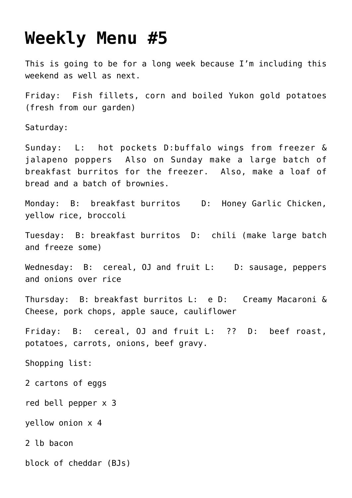## **[Weekly Menu #5](https://lincon.com/site/weekly-menu-5/)**

This is going to be for a long week because I'm including this weekend as well as next.

Friday: Fish fillets, corn and boiled Yukon gold potatoes (fresh from our garden)

Saturday:

Sunday: L: hot pockets D:buffalo wings from freezer & jalapeno poppers Also on Sunday make a large batch of breakfast burritos for the freezer. Also, make a loaf of bread and a batch of brownies.

Monday: B: breakfast burritos D: Honey Garlic Chicken, yellow rice, broccoli

Tuesday: B: breakfast burritos D: chili (make large batch and freeze some)

Wednesday: B: cereal, OJ and fruit L: D: sausage, peppers and onions over rice

Thursday: B: breakfast burritos L: e D: Creamy Macaroni & Cheese, pork chops, apple sauce, cauliflower

Friday: B: cereal, OJ and fruit L: ?? D: beef roast, potatoes, carrots, onions, beef gravy.

Shopping list:

2 cartons of eggs

red bell pepper x 3

yellow onion x 4

2 lb bacon

block of cheddar (BJs)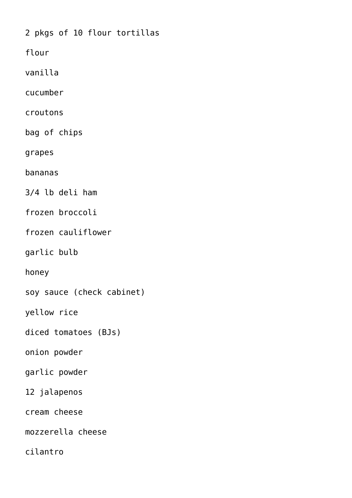2 pkgs of 10 flour tortillas

flour

vanilla

cucumber

croutons

bag of chips

grapes

bananas

3/4 lb deli ham

frozen broccoli

frozen cauliflower

garlic bulb

honey

soy sauce (check cabinet)

yellow rice

diced tomatoes (BJs)

onion powder

garlic powder

12 jalapenos

cream cheese

mozzerella cheese

cilantro